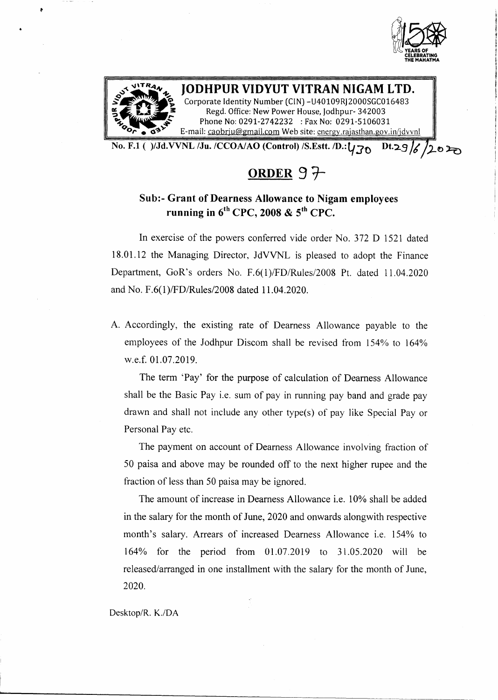



#### **JODHPUR VIDYUT VITRAN NIGAM LTD.** Corporate Identity Number (CIN) -U40109RJ2000SGC016483

Regd. Office: New Power House, Jodhpur- 342003 Phone No: 0291-2742232 : Fax No: 0291-5106031 E-mail: [caobrju@gmail.com](mailto:caobrju@gmail.com) Web site: cnergy.rajasthan.gov.in/jdvvnl

No. F.1 ( )/Jd.VVNL /Ju. /CCOA/AO (Control) /S.Estt. /D.: $\sqrt{30}$  Dt.29 /6 /2020

**ORDER 9** *T-*

# Sub:- Grant of Dearness Allowance to Nigam employees running in  $6^{\text{th}}$  CPC, 2008 & 5<sup>th</sup> CPC.

In exercise of the powers conferred vide order No. 372 D 1521 dated 18.01.12 the Managing Director, JdVVNL is pleased to adopt the Finance Department, GaR's orders No. F.6(1)/FD/Rules/2008 Pt. dated 1l.04.2020 and No. F.6(1)/FD/Rules/2008 dated 11.04.2020.

A. Accordingly, the existing rate of Dearness Allowance payable to the employees of the Jodhpur Discom shall be revised from 154% to 164% w.e.f.0l.07.2019.

The term 'Pay' for the purpose of calculation of Dearness Allowance shall be the Basic Pay i.e. sum of pay in running pay band and grade pay drawn and shall not include any other type(s) of pay like Special Payor Personal Pay etc.

The payment on account of Dearness Allowance involving fraction of 50 paisa and above may be rounded off to the next higher rupee and the fraction of less than 50 paisa may be ignored.

The amount of increase in Dearness Allowance i.e. 10% shall be added in the salary for the month of June, 2020 and onwards alongwith respective month's salary. Arrears of increased Dearness Allowance i.e. 154% to 164% for the period from 01.07.2019 to 31.05.2020 will be released/arranged in one installment with the salary for the month of June, 2020.

Desktop/R. K./DA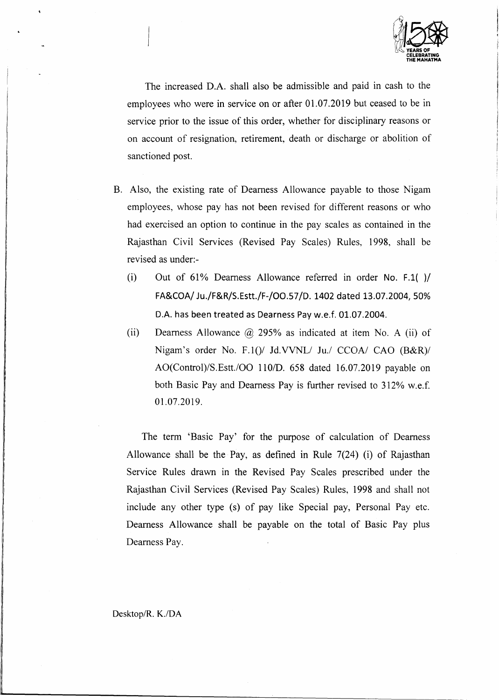

The increased D.A. shall also be admissible and paid in cash to the employees who were in service on or after 01.07.2019 but ceased to be in service prior to the issue of this order, whether for disciplinary reasons or on account of resignation, retirement, death or discharge or abolition of sanctioned post.

- B. Also, the existing rate of Dearness Allowance payable to those Nigam employees, whose pay has not been revised for different reasons or who had exercised an option to continue in the pay scales as contained in the Rajasthan Civil Services (Revised Pay Scales) Rules, 1998, shall be revised as under:-
	- (i) Out of 61% Dearness Allowance referred in order No. F.1( )/ FA&COA/ Ju./F&R/S.Estt./F-/OO.57/D. 1402 dated 13.07.2004, 50% D.A. has been treated as Dearness Pay w.e.f. 01.07.2004.
	- (ii) Dearness Allowance  $\omega$  295% as indicated at item No. A (ii) of Nigam's order No. F.1()/ Jd.VVNL/ Ju./ *CCOA*/ CAO *(B&R)*/ *AO(Control)/S.Estt./OO 1101D.* 658 dated 16.07.2019 payable on both Basic Pay and Dearness Pay is further revised to 312% w.e.f. 01.07.2019.

The term 'Basic Pay' for the purpose of calculation of Dearness Allowance shall be the Pay, as defined in Rule 7(24) (i) of Rajasthan Service Rules drawn in the Revised Pay Scales prescribed under the Rajasthan Civil Services (Revised Pay Scales) Rules, 1998 and shall not include any other type (s) of pay like Special pay, Personal Pay etc. Dearness Allowance shall be payable on the total of Basic Pay plus Dearness Pay.

Oesktop/R. *K.lDA*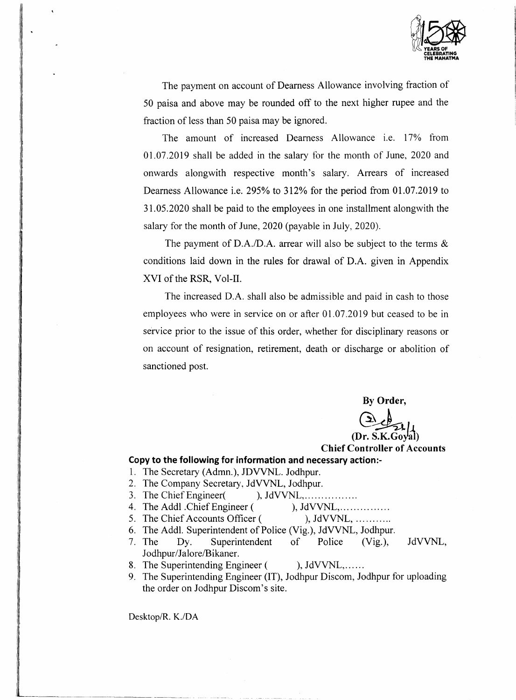

The payment on account of Dearness Allowance involving fraction of 50 paisa and above may be rounded off to the next higher rupee and the fraction of less than 50 paisa may be ignored.

The amount of increased Dearness Allowance i.e. 17% from 01.07.2019 shall be added in the salary for the month of June, 2020 and onwards alongwith respective month's salary. Arrears of increased Dearness Allowance i.e. 295% to 312% for the period from 01.07.2019 to 31.05.2020 shall be paid to the employees in one installment alongwith the salary for the month of June, 2020 (payable in July, 2020).

The payment of D.A./D.A. arrear will also be subject to the terms  $\&$ conditions laid down in the rules for drawal of D.A. given in Appendix XVI of the RSR, Vol-II.

The increased D.A. shall also be admissible and paid in cash to those employees who were in service on or after 01.07.2019 but ceased to be in service prior to the issue of this order, whether for disciplinary reasons or on account of resignation, retirement, death or discharge or abolition of sanctioned post.

**By Order,**

(Dr. :

# **Chief Controller of Accounts**

#### **Copy to the following for information and necessary action:-**

- 1. The Secretary (Admn.), JDVVNL. Jodhpur.
- 2. The Company Secretary, JdVVNL, Jodhpur.
- 3. The Chief Engineer( ), JdVVNL, ... ... ... ...
- 4. The Addl Chief Engineer (), JdVVNL, ... ... ... ...
- 5. The Chief Accounts Officer ( ), JdVVNL, ...........
- 6. The Addl. Superintendent of Police (Vig.), JdVVNL, Jodhpur.
- 7. The Dy. Superintendent of Police (Vig.), JdVVNL, Jodhpur/Jalore/Bikaner.
- 8. The Superintending Engineer ( ), JdVVNL,......
- 9. The Superintending Engineer (IT), Jodhpur Discom, Jodhpur for uploading the order on Jodhpur Discom's site.

Desktop/R. K./DA

"~-------~----------~- -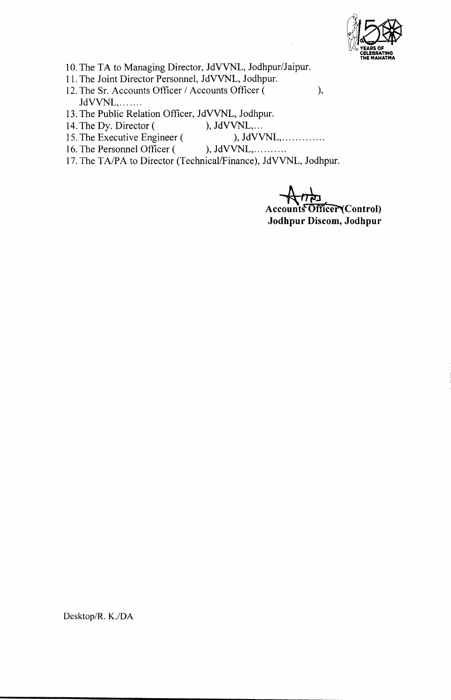

10. The TA to Managing Director, JdVVNL, Jodhpur/Jaipur.

- 11. The Joint Director Personnel, JdVVNL, Jodhpur.
- 12. The Sr. Accounts Officer / Accounts Officer ( ), JdVVNL, ... .....
- 13. The Public Relation Officer, JdVVNL, Jodhpur.
- 14. The Dy. Director ( ), JdVVNL,...
- 15. The Executive Engineer ( ), JdVVNL, ... ... ... ...
- 16. The Personnel Officer ( ), JdVVNL, ... ... ...
- 17. The TA/PA to Director (Technical/Finance), JdVVNL, Jodhpur.

 $A$ <sup>177</sup> Accounts Officer<sup>(</sup>Cont) **Jodhpur Discom, Jodhpur**

Desktop/R. *K.lDA*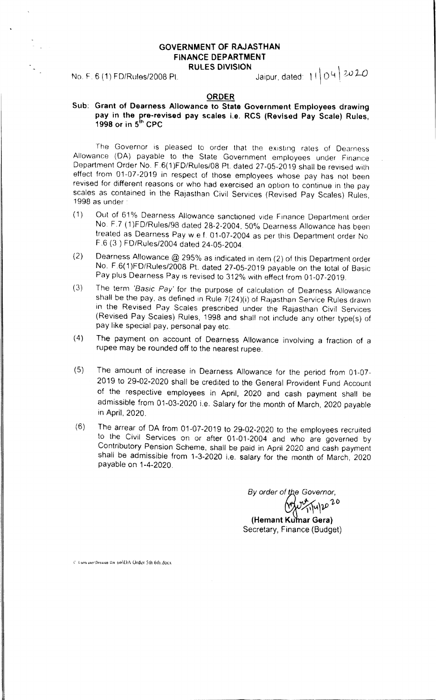## GOVERNMENT OF RAJASTHAN FiNANCE DEPARTMENT RULES DIVISION And  $\mathcal{N}$

No. F. 6 (1) FD/Rules/2008 Pt. \_\_\_\_\_\_\_\_\_\_\_\_\_\_\_\_\_\_Jaipur; dated: | I | O <sup>Q | 20</sup> <sup>ZC</sup>

#### ORDER

#### Sub: Grant of Dearness Allowance to State Government Employees drawing pay in the pre-revised pay scales i.e. RCS (Revised Pay Scale) Rules 1998 or in 5<sup>th</sup> CPC

The Governor is pleased to order that the existing rates of Dearness Allowance (OA) payable to the State Government employees under Finance Department Order No. F.6(1)FD/Rules/08 Pt. dated 27-05-2019 shall be revised with effect from 01-07-2019 in respect of those employees whose pay has not been revised for different reasons or who had exercised an option to continue in the pay scales as contained in the Rajasthan Civil Services (Revised Pay Scales) Rules, 1998 as under'

- (1) Out of 61% Dearness Allowance sanctioned vide Finance Department order No. F.7 (1)FD/Rules/98 dated 28-2-2004, 50% Dearness Allowance has been treated as Dearness Pay we f. 01-07-2004 as per this Department order No F.6 (3 ) FO/Rules/2004 dated 24-05-2004.
- (2) Dearness Allowance @ 295% as indicated in Item (2) of this Department order No. F .6( 1)FD/Rules/2008 Pt. dated 27-05-2019 payable on the total of Basic Pay plus Dearness Pay is revised to 312% with effect from 01-07-2019.
- (3) The term *'Basic Pay'* for the purpose of calculation of Dearness Allowance shall be the pay, as defined in Rule 7(24 )(i) of Rajasthan Service Rules drawn in the Revised Pay Scales prescribed under the Rajasthan Civil Services (Revised Pay Scales) Rules, 1998 and shall not include any other type(s) of pay like special pay, personal pay etc.
- (4) The payment on account of Dearness Allowance involving a fraction of a rupee may be rounded off to the nearest rupee.
- (5) The amount of increase in Dearness Allowance for the period from 01-07- 2019 to 29-02-2020 shall be credited to the General Provident Fund Account of the respective employees in April, 2020 and cash payment shall be admissible from 01-03-2020 i.e. Salary for the month of March, 2020 payable in April, 2020.
- (6) The arrear of DA from 01-07-2019 to 29-02-2020 to the employees recruited to the Civil Services on or after 01-01-2004 and who are governed by Contributory Pension Scheme, shall be paid in April 2020 and cash payment shall be admissible from 1-3-2020 i.e. salary for the month of March, 2020 payable on 1-4-2020.

*By order O~fe Governor,*

 $v \times 1.00$ */)"~'lP*

(Hemant Kumar Gera) Secretary, Finance (Budget)

*C. Users user Desktop DA. bth (DA Order 5th 6th.docx*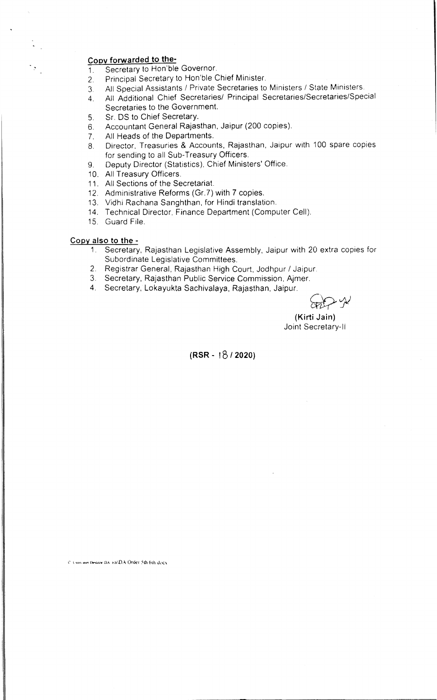### **CODV forwarded to the-**

- $1.$ Secretary to Hon'ble Governor.
- 2. Principal Secretary to Hon'ble Chief Minister.
- 3. All Special Assistants / Private Secretaries to Ministers / State Ministers.
- 4. All Additional Chief Secretaries/ Principal Secretaries/Secretaries/Special Secretaries to the Government.
- 5. Sr. OS to Chief Secretary.
- 6. Accountant General Rajasthan, Jaipur (200 copies).
- 7. All Heads of the Departments.
- 8. Director, Treasuries & Accounts, Rajasthan, Jaipur with 100 spare copies for sending to all Sub-Treasury Officers.
- 9. Deputy Director (Statistics), Chief Ministers' Office.
- 10. All Treasury Officers.
- 11. All Sections of the Secretaria
- 12. Administrative Reforms (Gr. 7) with 7 copies.
- 13. Vidhi Rachana Sanghthan, for Hindi translatior
- 14. Technical Director, Finance Department (Computer Cell).
- 15. Guard File.

#### **COPY also to the -**

- 1. Secretary, Rajasthan Legislative Assembly, Jaipur with 20 extra copies for Subordinate Legislative Committees.
- 2. Registrar General, Rajasthan High Court, Jodhpur / Jaipur.
- 3. Secretary. Rajasthan Public Service Commission. Ajmer.
- 4. Secretary, Lokayukta Sachivalaya. Rajasthan, Jaipur.

**(Kirti Jain)** Joint Secretary-II

**(RSR <sup>~</sup>** ,5 *I 2020)*

C. Cors non Desixor DA: 8(8)DA: Order 5th 6th deed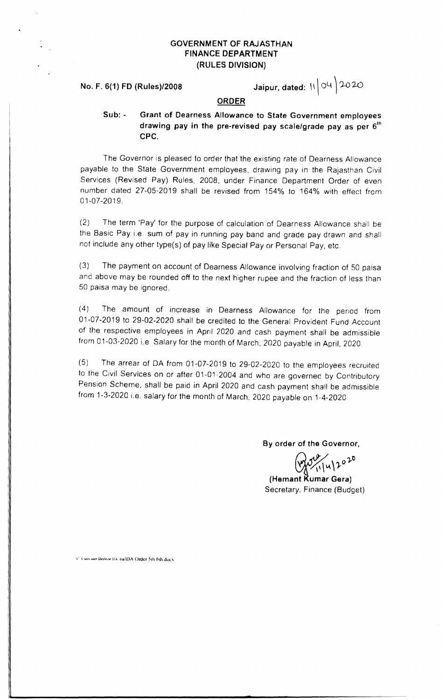# GOVERNMENT OF RAJASTHAN FINANCE DEPARTMENT (RULES DIVISION)

No. F. 6(1) FD (Rules)/2008

Jaipur. dated: '\ \ 04 ) *').0:2.0*

#### ORDER

Sub: - Grant of Dearness Allowance to State Government employees drawing pay in the pre-revised pay scale/grade pay as per  $6^{\prime\prime}$ CPC.

The Governor is pleased to order that the existing rate of Dearness Allowance payable to the State Government employees, drawing pay in the Rajasthan Civil Services (Revised Pay) Rules, 2008, under Finance Department Order of even number dated 27-05-2019 shall be revised from 154% to 164% with effect from 01-07-2019.

(2) The term 'Pay' for the purpose of calculation of Dearness Allowance shall be the Basic Pay i.e. sum of pay in running pay band and grade pay drawn and shall not include any other type(s) of pay like Special Payor Personal Pay, etc.

(3) The payment on account of Dearness Allowance involving fraction of 50 paisa and above may be rounded off to the next higher rupee and the fraction of less than 50 paisa may be ignored.

(4) The amount of increase in Dearness Allowance for the period from 01-07-2019 to 29-02-2020 shall be credited to the General Provident Fund Account of the respective employees in April 2020 and cash payment shall be admissible from 01-03-2020 i.e Salary for the month of March. 2020 payable in April. 2020.

(5) The arrear of DA from 01-07-2019 to 29-02-2020 to the employees recruited to the Civil Services on or after 01-01-2004 and who are governed by Contributory Pension Scheme, shall be paid in April 2020 and cash payment shall be admissible from 1-3-2020 i.e. salary for the month of March. 2020 payable on 1-4-2020

By order of the Governor,

*4"'/ o'}o* y';\",,\)r

(Hemant Rumar Gera) Secretary, Finance (Budget)

C. Users user Dealine DA: 6th DA: Order 5th 6th direx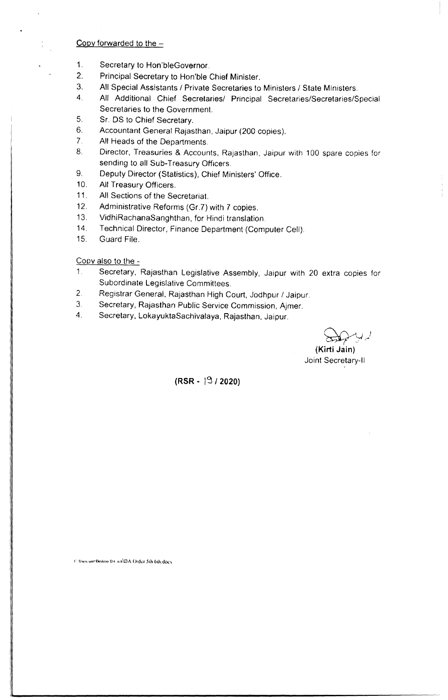## Copy forwarded to the  $-$

- 1. Secretary to Hon'bleGovernor.
- 2. Principal Secretary to Hon'ble Chief Minister.
- 3. All Special Assistants *I* Private Secretaries to Ministers / State Ministers.
- 4. All Additional Chief Secretaries/ Principal Secretaries/Secretaries/Special Secretaries to the Government.
- 5. Sr. OS to Chief Secretary.
- 6. Accountant General Rajasthan, Jaipur (200 copies).
- 7. All Heads of the Departments.
- 8. Director, Treasuries & Accounts, Rajasthan, Jaipur with 100 spare copies for sending to all Sub-Treasury Officers.
- 9. Deputy Director (Statistics), Chief Ministers' Office.
- 10. All Treasury Officers.
- 11. All Sections of the Secretariat,
- 12. Administrative Reforms (Gr.?) with 7 copies.
- 13. VidhiRachanaSanghthan, for Hindi translation.
- 14. Technical Director, Finance Department (Computer Cell).
- 15. Guard File.

COpy also to the -

- 1. Secretary, Rajasthan Legislative Assembly, Jaipur with 20 extra copies for Subordinate Legislative Committees.
- 2. Registrar General, Rajasthan High Court, Jodhpur / Jaipur.
- 3. Secretary, Rajasthan Public Service Commission, Ajmer.
- 4. Secretary, LokayuktaSachivalaya, Rajasthan, Jaipur.

 $\sum_{i=1}^n$ 

**(Kirti Jain)** Joint Secretary-II

**(RSR -** I<j *I 2020)*

C: Users user Desktoo DA: orh DA: Order 5th 6th, dock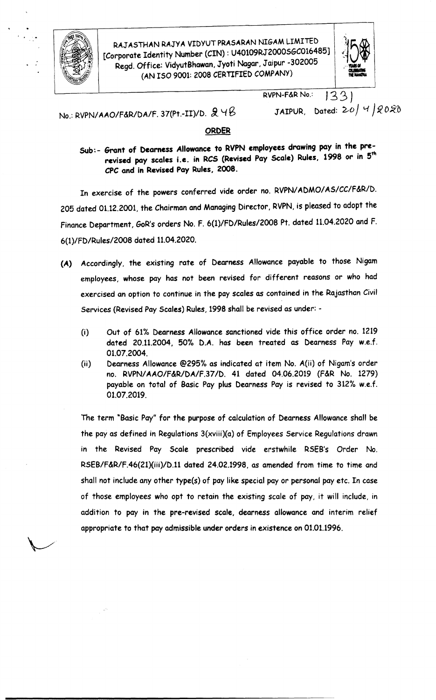

RAJASTHAN RAJYA VIDYUT PRASARAN NIGAM LIMITED<br>
[Corporate Identity Number (CIN) : U40109RJ2000S6C016485]<br>
Regd. Office: VidyutBhawan, Jyoti Nagar, Jaipur -302005<br>
(AN ISO 9001: 2008 CERTIFIED COMPANY) rporate Identity Number (CIN): U40109RJ 2000SBC010485J<br>Regd. Office: VidyutBhawan, Jyoti Nagar, Jaipur -302005 Identity Number (CIN): U40109RJ2000SGC016485] (AN ISO 9001: 2008 CERTIFIED COMPANY)



 $RVPN-F\&R No.$   $33)$ 

No.: RVPN/AAO/F&R/DA/F. 37(Pt.-II)/D. *fi* <sup>Y</sup> g

JAIPUR, Dated:  $20/4/2020$ 

# ORDER

Sub:- Grant of Dearness Allowance to RVPN employees drawing pay in the prerevised pay scales i.e. in RCS (Revised Pay Scale) Rules, 1998 or in 5<sup>th</sup> cpe and in Revised Pay Rules, 2008.

In exercise of the powers conferred vide order no. RVPN/ADMO/AS/CC/F&R/D. 205 dated 01.12.2001, the Chairman and Managing Director, RVPN, is pleased to adopt the Finance Department, GoR's orders No. F. 6(1)/FD/Rules/2008 Pt. dated 11.04.2020 and F. 6(1)/FD/Rules/2008 dated 11.04.2020.

- (A) Accordingly, the existing rate of Dearness Allowance payable to those Nigam employees, whose pay has not been revised for different reasons or who had exercised an option to continue in the pay scales as contained in the Rajasthan Civil Services (Revised Pay Scales) Rules, 1998 shall be revised as under: -
	- (i) Out of 61% Dearness Allowance sanctioned vide this office order no. 1219 dated 20.11.2004, 50% D.A. has been treated as Dearness Pay w.e.f. 01.07.2004.
	- (ii) Dearness Allowance @295% as indicated at item No. A(ii) of Nigam's order no. RVPNIAAO/F&R/DA/F.37/D. 41 dated 04.06.2019 (F&R No. 1279) payable on total of Basic Pay plus Dearness Pay is revised to 312% w.e.f. 01.07.2019.

The term "Basic Pay" for the purpose of calculation of Dearness Allowance shall be the pay as defined in Regulations  $3(xviii)(a)$  of Employees Service Regulations drawn in the Revised Pay Scale prescribed vide erstwhile RSEB's Order No. RSEB/F&R/F.46(21)(iii)/D.11 dated 24.02.1998, as amended from time to time and shall not include any other type(s) of pay like special pay or personal pay etc. In case of those employees who opt to retain the existing scale of pay, it will include, in addition to pay in the pre-revised scale, dearness allowance and interim relief appropriate to that payadmissible under orders in existence on 01.01.1996.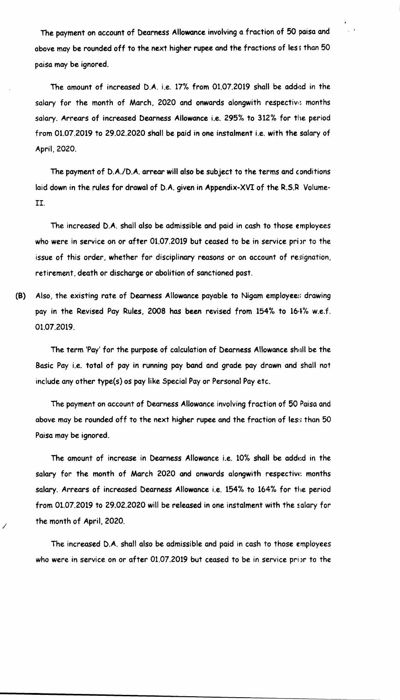The payment on account of Dearness Allowance involving a fraction of 50 paisa and above may be rounded off to the next higher rupee and the fractions of less than 50 paisa may be ignored.

The amount of increased D.A. i.e. 17% from 01.07.2019 shall be added in the salary for the month of March, 2020 and onwards alongwith respective months salary. Arrears of increased Dearness Allowance i.e. 295% to 312% for the period from 01.07.2019 to 29.02.2020 shall be paid in one instalment i.e. with the salary of April, 2020.

The payment of D.A./D.A. arrear will also be subject to the terms and conditions laid down in the rules for drawal of D.A. given in Appendix-XVI of the R.S.R. Volume-II.

The increased D.A. shall also be admissible and paid in cash to those employees who were in service on or after 01.07.2019 but ceased to be in service prior to the issue of this order, whether for disciplinary reasons or on account of resignation, retirement, death or discharge or abolition of sanctioned post.

(8) Also, the existing rate of Dearness Allowance payable to Nigam employees drawing pay in the Revised Pay Rules, 2008 has been revised from 154% to 16·1% w.e.f. 01.07.2019.

The term 'Pay' for the purpose of calculation of Dearness Allowance shull be the Basic Pay i.e. total of pay in running pay band and grade pay drawn and shall not include any other type(s) os pay like Special Payor Personal Pay etc.

The payment on account of Dearness Allowance involving fraction of 50 Paisa and above may be rounded off to the next higher rupee and the fraction of less than 50 Paisa may be ignored.

The amount of increase in Dearness Allowance i.e, 10% shall be edded in the salary for the month of March 2020 and onwards alongwith respective: months salary. Arrears of increased Dearness Allowance i.e. 154% to 164% for the period from 01.07.2019 to 29.02.2020 will be released in one instalment with the salary for the month of April, 2020.

The increased D.A. shall also be admissible and paid in cash to those employees who were in service on or after 01.07.2019 but ceased to be in service prior to the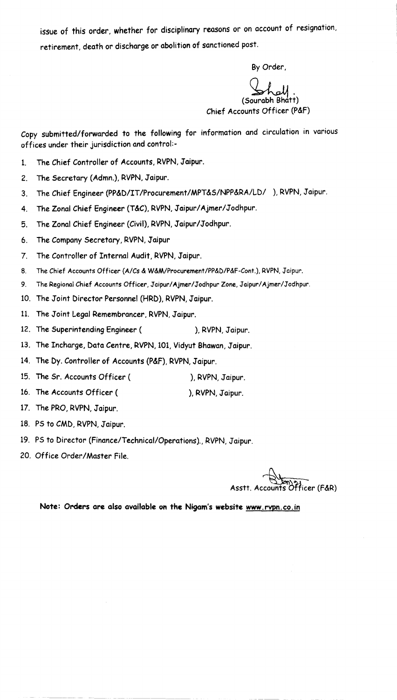issue of this order, whether for disciplinary reasons or on account of resignation, retirement, death or discharge or abolition of sanctioned post.

By Order,

~. (Sourabh Bhatt) Chief Accounts Officer (P&F)

Copy submitted/forwarded to the following for information and circulation in various offices under their jurisdiction and control:-

- 1. The Chief Controller of Accounts, RVPN, Jaipur.
- 2. The Secretary (Admn.), RVPN, Jaipur.
- 3. The Chief Engineer (PP&D/IT/Procurement/MPT&S/NPP&RA/LD/ ), RVPN, Jaipur.
- 4. The Zonal Chief Engineer (T&C), RVPN, Jaipur/ Ajmer/Jodhpur.
- 5. The Zonal Chief Engineer (Civil), RVPN, Jaipur/Jodhpur.
- 6. The Company Secretary, RVPN, Jaipur
- 7. The Controller of Internal Audit, RVPN, Jaipur.
- 8. The Chief Accounts Officer *(A/Cs* & W&M/Procurement/PP&D/P&F-Cont.), RVPN, Jaipur.
- 9. The Regional Chief Accounts Officer, Jaipur/Ajmer/Jodhpur Zone, Jaipur/Ajmer/Jodhpur.
- 10. The Joint Director Personnel (HRD), RVPN, Jaipur.
- 11. The Joint Legal Remembrancer, RVPN, Jaipur.
- 12. The Superintending Engineer ( ), RVPN, Jaipur.
- 13. The Incharge, Data Centre, RVPN, 101, Vidyut Bhawan, Jaipur.
- 14. The Dy. Controller of Accounts (P&F), RVPN, Jaipur.
- 15. The Sr. Accounts Officer ( ), RVPN, Jaipur.
- 16. The Accounts Officer ( ), RVPN, Jaipur.
- 17. The PRO, RVPN, Jaipur.
- 18. PS to CMD, RVPN, Jaipur.
- 19. PS to Director (Finance/Technical/Operations)., RVPN, Jaipur.
- 20. Office Order/Master File.

Asstt. Accou Asstt. Accounts ~fficer (F&R)

Note: Orders are also available on the Nigam's website [www.rvpn.co](http://www.rvpn.co) .in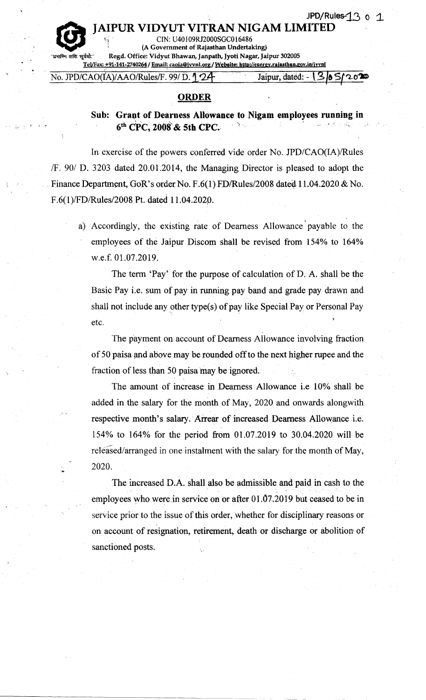# UR VIDYUT VITRAN NIGAM LIMITED

*r,(i '* CIN: U40109RJ2000SGC016486 (A Government of Rajasthan Undertaking)

 $\mathbf{C}$ Regd. Office: Vidyut Bhawan, Janpath, Jyoti Nagar, Jaipur 302005 Tel/Fax: +91-141-2740264 / Email: caoia@jvvnl.org / Website: http://energy.rajasthan.gov.in/jvvnl

No. *JPD/CAO(IA)/AAO/Rules/F.* 99/ D.<sup>1</sup>: 24: Jaipur, dated: - {3| 8

### ORDER

# Sub: Grant of Dearness Allowance to Nigam employees running in  $6<sup>th</sup>$  CPC, 2008 & 5th CPC.

In exercise of the powers conferred vide order No. JPD/CAO(IA)/Rules *IF.* 90/ D. 3203 dated 20.01.2014, the Managing Director is pleased to adopt the Finance Department, GoR's order No. F.6(1) FD/Rules/2008 dated  $11.04.2020 \& N$ o. F.6(1)/FD/Rules/2008 Pt. dated 11.04.2020.

a) Accordingly, the existing rate of Dearness Allowance' payable to the employees of the Jaipur Discom shall be revised from 154% to 164% w.e.f. 01.07.2019.

The term 'Pay' for the purpose of calculation of D. A. shall be the Basic Pay i.e. sum of pay in running pay band and grade pay drawn and shall not include any other type(s) of pay like Special Pay or Personal Pay etc.

The payment on account of Dearness Allowance involving fraction of 50 paisa and above may be rounded off to the next higher rupee and the fraction of less than 50 paisa may be ignored.

The amount of increase in Dearness Allowance i.e 10% shall be added in the salary for the month of May, 2020 and onwards alongwith respective month's salary. Arrear of increased Dearness Allowance i.e. 154% to 164% for the period from 01.07.2019 to 30.04.2020 will be released/arranged in one instalment with the salary for the month of May, 2020.

The increased D.A. shall also be admissible and paid in cash to the employees who were in service on or after  $01.07.2019$  but ceased to be in service prior to the issue of this order, whether for disciplinary reasons or on account of resignation, retirement, death or discharge or abolition: of sanctioned posts.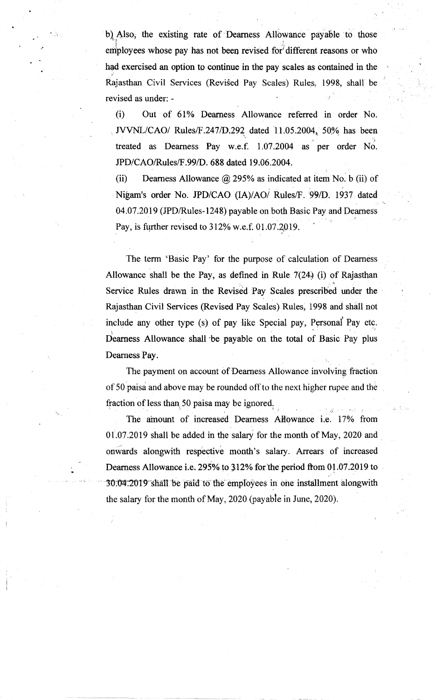b) Also, the existing rate of Dearness Allowance payable to those employees whose pay has not been revised for different reasons or who had exercised an option to continue in the pay scales as contained in the :' Rajasthan Civil Services (Revised Pay Scales) Rules, 1998, shall be revised as under: - .,'

..'

..

(i) Out of 61% Dearness Allowance referred in order No. *JVVNL/CAO/* Rules/F.247/D.292 dated 11.05.2004, 50% has been :.'r treated as Dearness Pay w.e.f. 1.07.2004 as per order No. *JPD/CAOlRules/F .99/D.* 688 dated 19.06.2004.

(ii) Dearness Allowance  $\hat{\omega}$  295% as indicated at item No. b (ii) of .Nigam's order No. *JPD/CAO (IA)/AOj* Rules/F. *:991D.* 1937 dated '. f. 04.07.2019 (JPD/Rules-1248) payable on both Basic Pay and Dearness Pay, is further revised to  $312\%$  w.e.f. 01.07.2019.

The term 'Basic Pay' for the purpose of calculation of Dearness Allowance shall be the Pay, as defined in Rule  $7(24)$  (i) of Rajasthan , ... , ... , ... , ... , ... , ... , ... , ... , ... , ... , ... , ... , ... , ... , ... , ... , ... , ... , ... , ... , ... , ... , ... , ... , ... , ... , ... , ... , ... , ... , ... , ... , ... , ... , ... , ... , ... Service Rules drawn in the Revised Pay Scales prescribed under the Rajasthan Civil Services (Revised Pay Scales) Rules, 1998 and shall not include any other type (s) of pay like Special pay, Personal Pay etc. , and the set of the set of the set of the set of the set of the set of the set of the set of the set of the set of the set of the set of the set of the set of the set of the set of the set of the set of the set of the se Dearness Allowance shall be payable on the total of Basic Pay plus Dearness Pay.

The payment on account of Dearness Allowance involving fraction of 50 paisa and above may be rounded off to the next higher rupee and the fraction of less than 50 paisa may be ignored.

The amount of increased Dearness Allowance i.e. 17% from  $01.07.2019$  shall be added in the salary for the month of May, 2020 and onwards alongwith respective month's salary. Arrears of increased Dearness Allowance i.e. 295% to  $312\%$  for the period from 01.07.2019 to ,.' 30.04.2019 shall be paid to the employees in one installment alongwith the salary for the month of May, 2020 (payable in June, 2020).